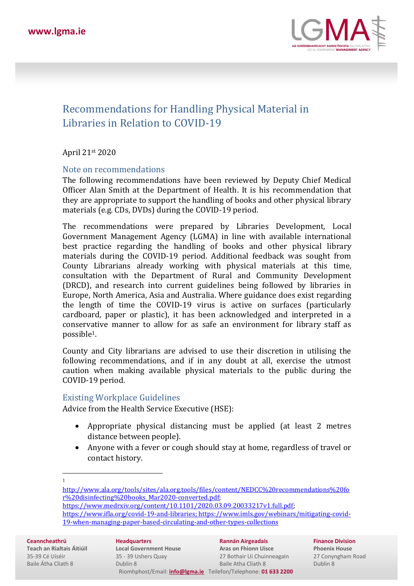

# Recommendations for Handling Physical Material in Libraries in Relation to COVID-19

April 21st 2020

#### Note on recommendations

The following recommendations have been reviewed by Deputy Chief Medical Officer Alan Smith at the Department of Health. It is his recommendation that they are appropriate to support the handling of books and other physical library materials (e.g. CDs, DVDs) during the COVID-19 period.

The recommendations were prepared by Libraries Development, Local Government Management Agency (LGMA) in line with available international best practice regarding the handling of books and other physical library materials during the COVID-19 period. Additional feedback was sought from County Librarians already working with physical materials at this time, consultation with the Department of Rural and Community Development (DRCD), and research into current guidelines being followed by libraries in Europe, North America, Asia and Australia. Where guidance does exist regarding the length of time the COVID-19 virus is active on surfaces (particularly cardboard, paper or plastic), it has been acknowledged and interpreted in a conservative manner to allow for as safe an environment for library staff as possible1.

County and City librarians are advised to use their discretion in utilising the following recommendations, and if in any doubt at all, exercise the utmost caution when making available physical materials to the public during the COVID-19 period.

#### Existing Workplace Guidelines

Advice from the Health Service Executive (HSE):

- Appropriate physical distancing must be applied (at least 2 metres distance between people).
- Anyone with a fever or cough should stay at home, regardless of travel or contact history.

1

**Ceanncheathrú**

**Teach an Rialtais Áitiúil** 35-39 Cé Uiséir Baile Átha Cliath 8

**Headquarters Local Government House** 35 - 39 Ushers Quay Dublin 8 Riomhphost/Email: **[info@lgma.ie](mailto:info@lgma.ie)** Teilefon/Telephone: **01 633 2200**

**Rannán Airgeadais Aras on Fhionn Uisce** 27 Bothair Ui Chuinneagain Baile Atha Cliath 8

**Finance Division Phoenix House** 27 Conyngham Road Dublin 8

[http://www.ala.org/tools/sites/ala.org.tools/files/content/NEDCC%20recommendations%20fo](http://www.ala.org/tools/sites/ala.org.tools/files/content/NEDCC%20recommendations%20for%20disinfecting%20books_Mar2020-converted.pdf) [r%20disinfecting%20books\\_Mar2020-converted.pdf;](http://www.ala.org/tools/sites/ala.org.tools/files/content/NEDCC%20recommendations%20for%20disinfecting%20books_Mar2020-converted.pdf) 

[https://www.medrxiv.org/content/10.1101/2020.03.09.20033217v1.full.pdf;](https://www.medrxiv.org/content/10.1101/2020.03.09.20033217v1.full.pdf)

[https://www.ifla.org/covid-19-and-libraries;](https://www.ifla.org/covid-19-and-libraries) [https://www.imls.gov/webinars/mitigating-covid-](https://www.imls.gov/webinars/mitigating-covid-19-when-managing-paper-based-circulating-and-other-types-collections)[19-when-managing-paper-based-circulating-and-other-types-collections](https://www.imls.gov/webinars/mitigating-covid-19-when-managing-paper-based-circulating-and-other-types-collections)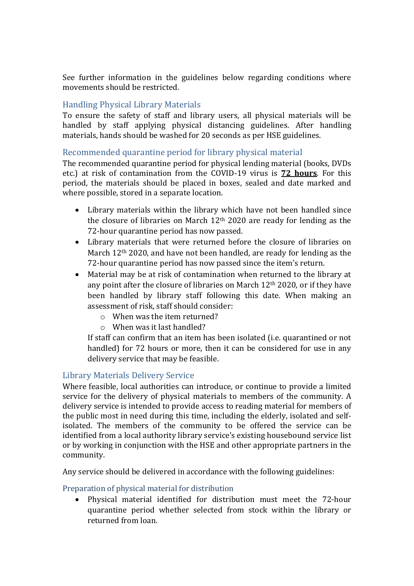See further information in the guidelines below regarding conditions where movements should be restricted.

# Handling Physical Library Materials

To ensure the safety of staff and library users, all physical materials will be handled by staff applying physical distancing guidelines. After handling materials, hands should be washed for 20 seconds as per HSE guidelines.

# Recommended quarantine period for library physical material

The recommended quarantine period for physical lending material (books, DVDs etc.) at risk of contamination from the COVID-19 virus is **72 hours**. For this period, the materials should be placed in boxes, sealed and date marked and where possible, stored in a separate location.

- Library materials within the library which have not been handled since the closure of libraries on March 12th 2020 are ready for lending as the 72-hour quarantine period has now passed.
- Library materials that were returned before the closure of libraries on March 12<sup>th</sup> 2020, and have not been handled, are ready for lending as the 72-hour quarantine period has now passed since the item's return.
- Material may be at risk of contamination when returned to the library at any point after the closure of libraries on March 12th 2020, or if they have been handled by library staff following this date. When making an assessment of risk, staff should consider:
	- o When was the item returned?
	- o When was it last handled?

If staff can confirm that an item has been isolated (i.e. quarantined or not handled) for 72 hours or more, then it can be considered for use in any delivery service that may be feasible.

# Library Materials Delivery Service

Where feasible, local authorities can introduce, or continue to provide a limited service for the delivery of physical materials to members of the community. A delivery service is intended to provide access to reading material for members of the public most in need during this time, including the elderly, isolated and selfisolated. The members of the community to be offered the service can be identified from a local authority library service's existing housebound service list or by working in conjunction with the HSE and other appropriate partners in the community.

Any service should be delivered in accordance with the following guidelines:

# Preparation of physical material for distribution

• Physical material identified for distribution must meet the 72-hour quarantine period whether selected from stock within the library or returned from loan.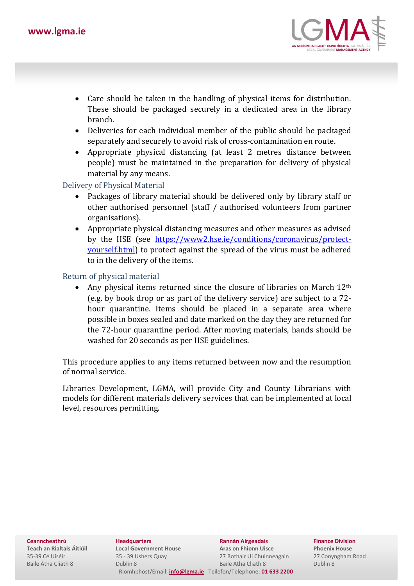

- Care should be taken in the handling of physical items for distribution. These should be packaged securely in a dedicated area in the library branch.
- Deliveries for each individual member of the public should be packaged separately and securely to avoid risk of cross-contamination en route.
- Appropriate physical distancing (at least 2 metres distance between people) must be maintained in the preparation for delivery of physical material by any means.

#### Delivery of Physical Material

- Packages of library material should be delivered only by library staff or other authorised personnel (staff / authorised volunteers from partner organisations).
- Appropriate physical distancing measures and other measures as advised by the HSE (see [https://www2.hse.ie/conditions/coronavirus/protect](https://www2.hse.ie/conditions/coronavirus/protect-yourself.html)[yourself.html\)](https://www2.hse.ie/conditions/coronavirus/protect-yourself.html) to protect against the spread of the virus must be adhered to in the delivery of the items.

#### Return of physical material

Any physical items returned since the closure of libraries on March 12<sup>th</sup> (e.g. by book drop or as part of the delivery service) are subject to a 72 hour quarantine. Items should be placed in a separate area where possible in boxes sealed and date marked on the day they are returned for the 72-hour quarantine period. After moving materials, hands should be washed for 20 seconds as per HSE guidelines.

This procedure applies to any items returned between now and the resumption of normal service.

Libraries Development, LGMA, will provide City and County Librarians with models for different materials delivery services that can be implemented at local level, resources permitting.

**Ceanncheathrú**

**Teach an Rialtais Áitiúil** 35-39 Cé Uiséir Baile Átha Cliath 8

**Headquarters Local Government House** 35 - 39 Ushers Quay Dublin 8 Riomhphost/Email: **[info@lgma.ie](mailto:info@lgma.ie)** Teilefon/Telephone: **01 633 2200**

**Rannán Airgeadais Aras on Fhionn Uisce** 27 Bothair Ui Chuinneagain Baile Atha Cliath 8

**Finance Division Phoenix House** 27 Conyngham Road Dublin 8